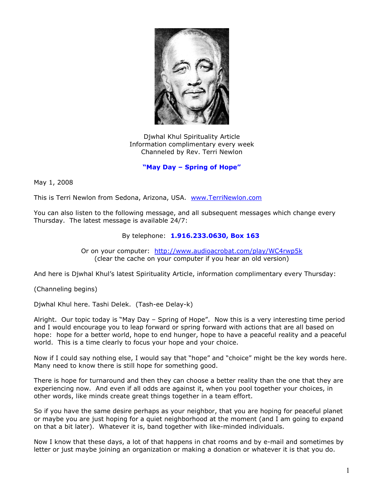

Djwhal Khul Spirituality Article Information complimentary every week Channeled by Rev. Terri Newlon

**"May Day – Spring of Hope"**

May 1, 2008

This is Terri Newlon from Sedona, Arizona, USA. [www.TerriNewlon.com](http://www.terrinewlon.com/)

You can also listen to the following message, and all subsequent messages which change every Thursday. The latest message is available 24/7:

## By telephone: **1.916.233.0630, Box 163**

Or on your computer: <http://www.audioacrobat.com/play/WC4rwp5k> (clear the cache on your computer if you hear an old version)

And here is Djwhal Khul's latest Spirituality Article, information complimentary every Thursday:

(Channeling begins)

Djwhal Khul here. Tashi Delek. (Tash-ee Delay-k)

Alright. Our topic today is "May Day – Spring of Hope". Now this is a very interesting time period and I would encourage you to leap forward or spring forward with actions that are all based on hope: hope for a better world, hope to end hunger, hope to have a peaceful reality and a peaceful world. This is a time clearly to focus your hope and your choice.

Now if I could say nothing else, I would say that "hope" and "choice" might be the key words here. Many need to know there is still hope for something good.

There is hope for turnaround and then they can choose a better reality than the one that they are experiencing now. And even if all odds are against it, when you pool together your choices, in other words, like minds create great things together in a team effort.

So if you have the same desire perhaps as your neighbor, that you are hoping for peaceful planet or maybe you are just hoping for a quiet neighborhood at the moment (and I am going to expand on that a bit later). Whatever it is, band together with like-minded individuals.

Now I know that these days, a lot of that happens in chat rooms and by e-mail and sometimes by letter or just maybe joining an organization or making a donation or whatever it is that you do.